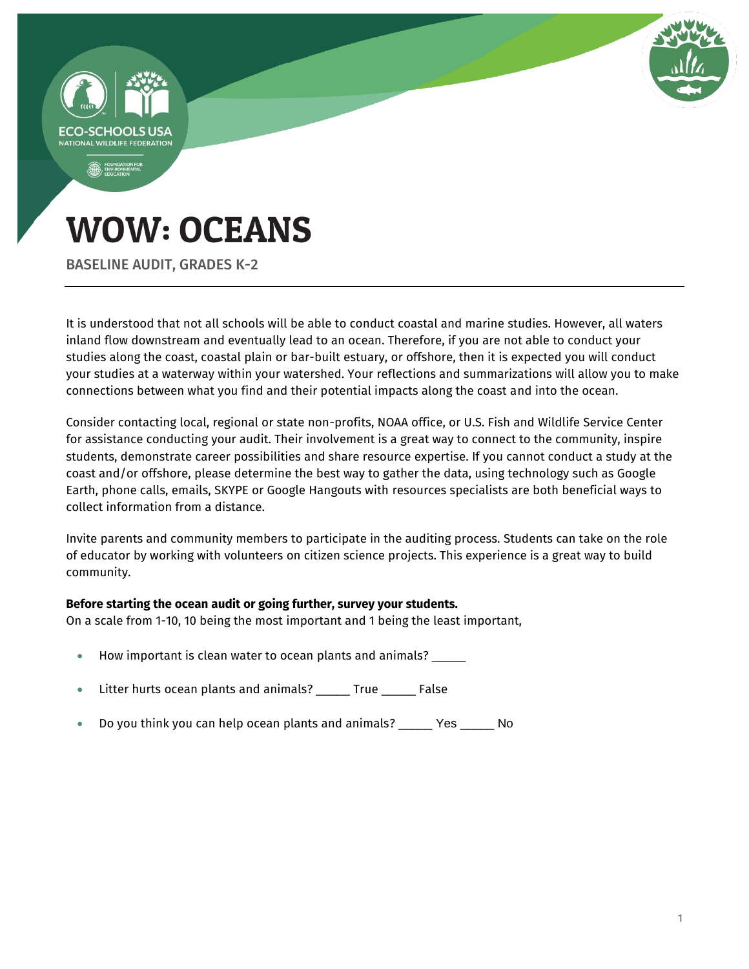

It is understood that not all schools will be able to conduct coastal and marine studies. However, all waters inland flow downstream and eventually lead to an ocean. Therefore, if you are not able to conduct your studies along the coast, coastal plain or bar-built estuary, or offshore, then it is expected you will conduct your studies at a waterway within your watershed. Your reflections and summarizations will allow you to make connections between what you find and their potential impacts along the coast and into the ocean.

Consider contacting local, regional or state non-profits, NOAA office, or U.S. Fish and Wildlife Service Center for assistance conducting your audit. Their involvement is a great way to connect to the community, inspire students, demonstrate career possibilities and share resource expertise. If you cannot conduct a study at the coast and/or offshore, please determine the best way to gather the data, using technology such as Google Earth, phone calls, emails, SKYPE or Google Hangouts with resources specialists are both beneficial ways to collect information from a distance.

Invite parents and community members to participate in the auditing process. Students can take on the role of educator by working with volunteers on citizen science projects. This experience is a great way to build community.

#### **Before starting the ocean audit or going further, survey your students.**

On a scale from 1-10, 10 being the most important and 1 being the least important,

- How important is clean water to ocean plants and animals? \_\_\_\_\_
- Litter hurts ocean plants and animals? \_\_\_\_\_ True \_\_\_\_\_ False
- Do you think you can help ocean plants and animals? \_\_\_\_\_ Yes \_\_\_\_\_ No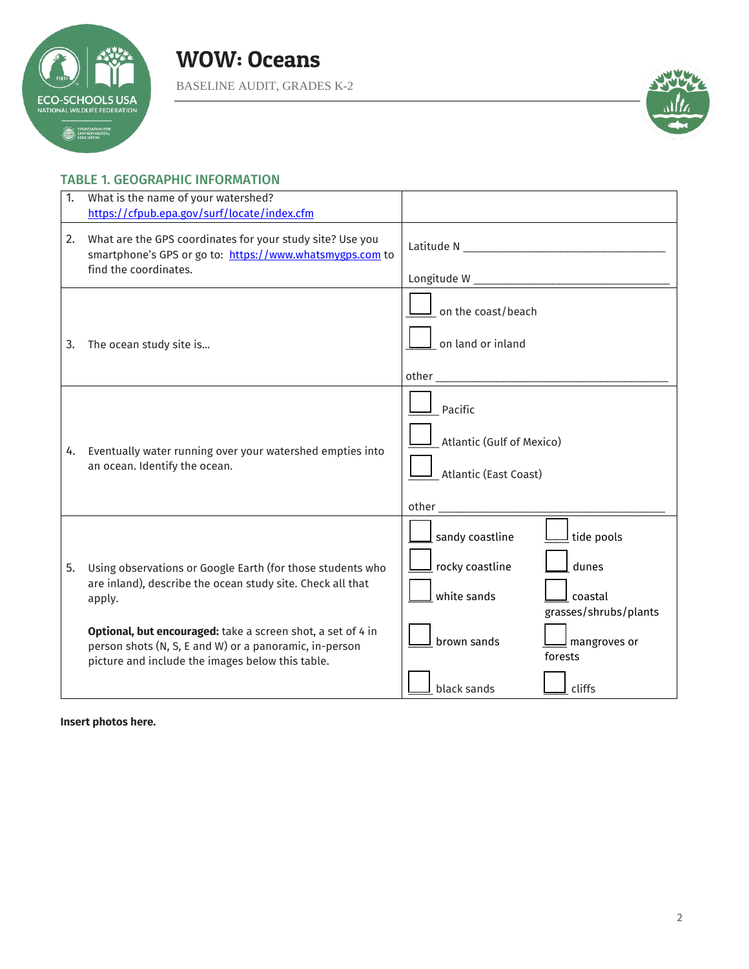



# TABLE 1. GEOGRAPHIC INFORMATION

| 1. | What is the name of your watershed?<br>https://cfpub.epa.gov/surf/locate/index.cfm                                                                                                                                                                                                                              |                                                                                                                                                                                                         |
|----|-----------------------------------------------------------------------------------------------------------------------------------------------------------------------------------------------------------------------------------------------------------------------------------------------------------------|---------------------------------------------------------------------------------------------------------------------------------------------------------------------------------------------------------|
| 2. | What are the GPS coordinates for your study site? Use you<br>smartphone's GPS or go to: https://www.whatsmygps.com to<br>find the coordinates.                                                                                                                                                                  |                                                                                                                                                                                                         |
| 3. | The ocean study site is                                                                                                                                                                                                                                                                                         | $\mathsf I$ on the coast/beach<br>on land or inland                                                                                                                                                     |
| 4. | Eventually water running over your watershed empties into<br>an ocean. Identify the ocean.                                                                                                                                                                                                                      | Pacific<br>Atlantic (Gulf of Mexico)<br>Atlantic (East Coast)<br>other and the contract of the contract of the contract of the contract of the contract of the contract of the                          |
| 5. | Using observations or Google Earth (for those students who<br>are inland), describe the ocean study site. Check all that<br>apply.<br>Optional, but encouraged: take a screen shot, a set of 4 in<br>person shots (N, S, E and W) or a panoramic, in-person<br>picture and include the images below this table. | $\mathsf I$ sandy coastline<br>tide pools<br>$\mathsf I$ rocky coastline<br>dunes<br>white sands<br>coastal<br>grasses/shrubs/plants<br>brown sands<br>$\mathsf{\underline{J}}$ mangroves or<br>forests |
|    |                                                                                                                                                                                                                                                                                                                 | black sands<br>cliffs                                                                                                                                                                                   |

**Insert photos here.**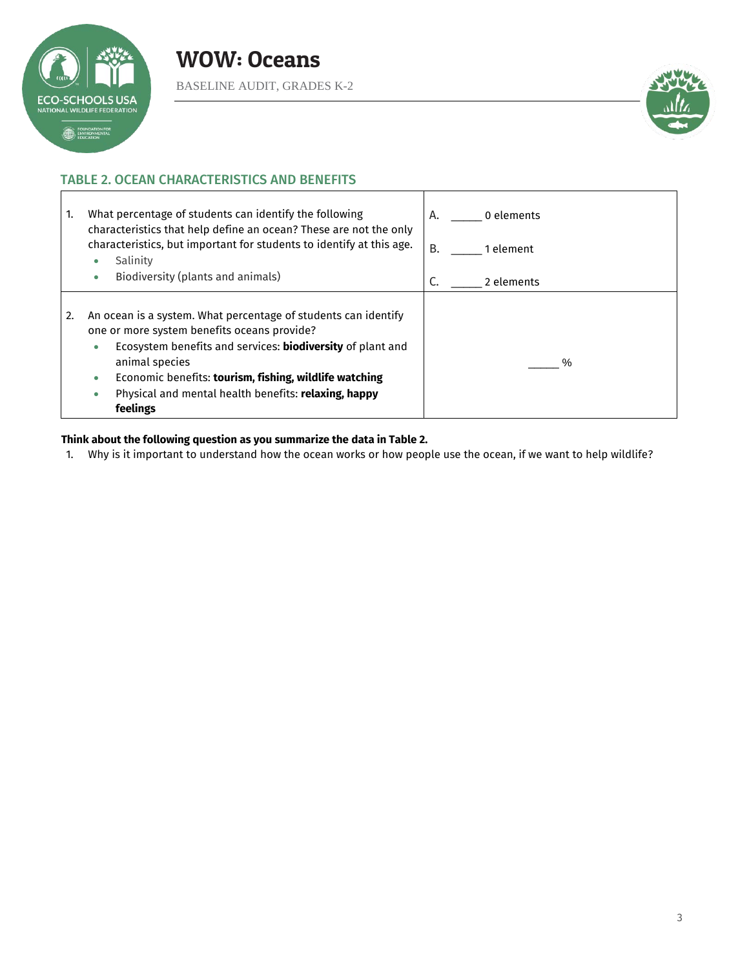



# TABLE 2. OCEAN CHARACTERISTICS AND BENEFITS

| What percentage of students can identify the following<br>1.<br>characteristics that help define an ocean? These are not the only                                                                                                                                                                                                                | 0 elements<br>A. |
|--------------------------------------------------------------------------------------------------------------------------------------------------------------------------------------------------------------------------------------------------------------------------------------------------------------------------------------------------|------------------|
| characteristics, but important for students to identify at this age.                                                                                                                                                                                                                                                                             | B.               |
| Salinity                                                                                                                                                                                                                                                                                                                                         | 1 element        |
| Biodiversity (plants and animals)                                                                                                                                                                                                                                                                                                                | 2 elements       |
| ۰                                                                                                                                                                                                                                                                                                                                                | C.               |
| An ocean is a system. What percentage of students can identify<br>2.<br>one or more system benefits oceans provide?<br>Ecosystem benefits and services: biodiversity of plant and<br>۰<br>animal species<br>Economic benefits: tourism, fishing, wildlife watching<br>۰<br>Physical and mental health benefits: relaxing, happy<br>۰<br>feelings | %                |

#### **Think about the following question as you summarize the data in Table 2.**

1. Why is it important to understand how the ocean works or how people use the ocean, if we want to help wildlife?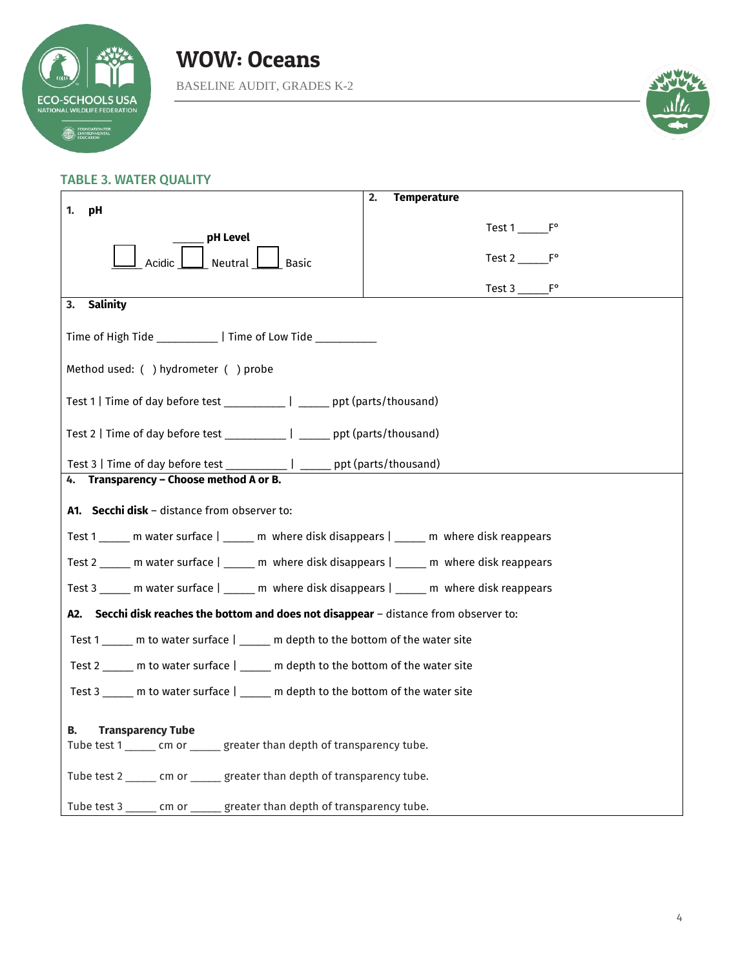

WOW: Oceans

BASELINE AUDIT, GRADES K-2



#### TABLE 3. WATER QUALITY

|                                                                                              | <b>Temperature</b><br>2. |  |  |  |
|----------------------------------------------------------------------------------------------|--------------------------|--|--|--|
| pH<br>1.                                                                                     |                          |  |  |  |
| pH Level                                                                                     | Test 1 F°                |  |  |  |
| Neutral<br>Acidic<br><b>Basic</b>                                                            | Test $2 \_\_F^{\circ}$   |  |  |  |
|                                                                                              |                          |  |  |  |
| <b>Salinity</b><br>3.                                                                        |                          |  |  |  |
| Time of High Tide ______________   Time of Low Tide ___________                              |                          |  |  |  |
| Method used: ( ) hydrometer ( ) probe                                                        |                          |  |  |  |
| Test 1   Time of day before test _____________   _______ ppt (parts/thousand)                |                          |  |  |  |
| Test 2   Time of day before test _____________   ______ ppt (parts/thousand)                 |                          |  |  |  |
| Test 3   Time of day before test ____________   ______ ppt (parts/thousand)                  |                          |  |  |  |
| 4. Transparency - Choose method A or B.                                                      |                          |  |  |  |
| A1. Secchi disk - distance from observer to:                                                 |                          |  |  |  |
| Test 1 ______ m water surface   _____ m where disk disappears   _____ m where disk reappears |                          |  |  |  |
| Test 2 ______ m water surface   _____ m where disk disappears   _____ m where disk reappears |                          |  |  |  |
| Test 3 ______ m water surface   _____ m where disk disappears   _____ m where disk reappears |                          |  |  |  |
| A2. Secchi disk reaches the bottom and does not disappear - distance from observer to:       |                          |  |  |  |
| Test 1 _____ m to water surface   _____ m depth to the bottom of the water site              |                          |  |  |  |
| Test 2 _____ m to water surface   _____ m depth to the bottom of the water site              |                          |  |  |  |
| Test 3 _____ m to water surface   _____ m depth to the bottom of the water site              |                          |  |  |  |
| В.<br><b>Transparency Tube</b>                                                               |                          |  |  |  |
| Tube test 1 ______ cm or ______ greater than depth of transparency tube.                     |                          |  |  |  |
| Tube test 2 ______ cm or ______ greater than depth of transparency tube.                     |                          |  |  |  |
| Tube test 3 ______ cm or _____ greater than depth of transparency tube.                      |                          |  |  |  |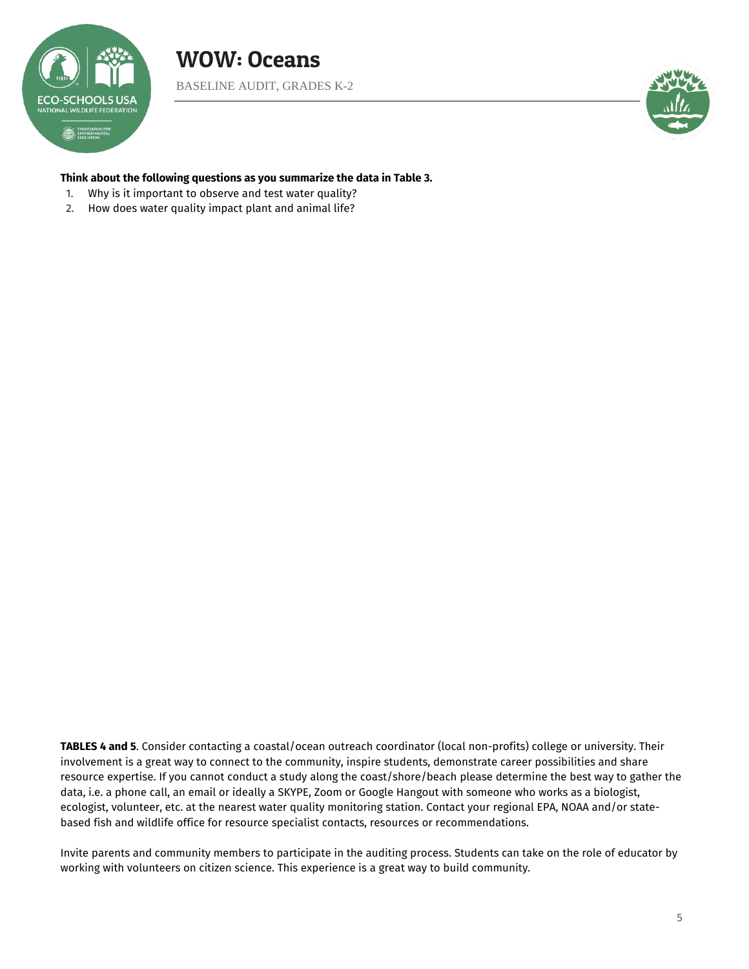



#### **Think about the following questions as you summarize the data in Table 3.**

- 1. Why is it important to observe and test water quality?
- 2. How does water quality impact plant and animal life?

**TABLES 4 and 5**. Consider contacting a coastal/ocean outreach coordinator (local non-profits) college or university. Their involvement is a great way to connect to the community, inspire students, demonstrate career possibilities and share resource expertise. If you cannot conduct a study along the coast/shore/beach please determine the best way to gather the data, i.e. a phone call, an email or ideally a SKYPE, Zoom or Google Hangout with someone who works as a biologist, ecologist, volunteer, etc. at the nearest water quality monitoring station. Contact your regional EPA, NOAA and/or statebased fish and wildlife office for resource specialist contacts, resources or recommendations.

Invite parents and community members to participate in the auditing process. Students can take on the role of educator by working with volunteers on citizen science. This experience is a great way to build community.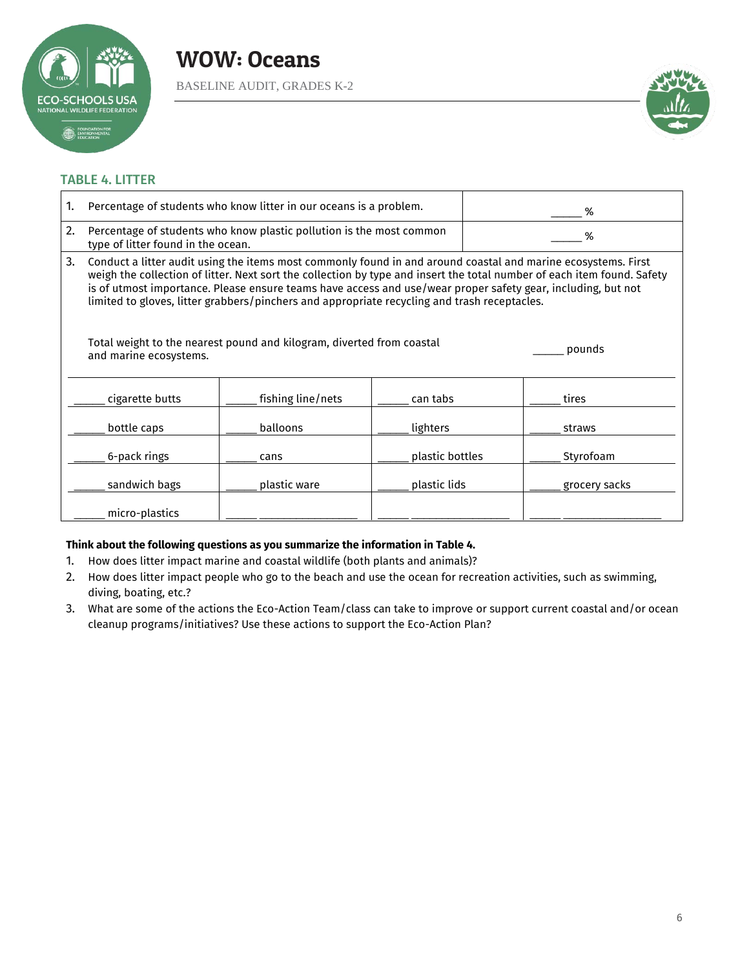

# WOW: Oceans BASELINE AUDIT, GRADES K-2



### TABLE 4. LITTER

| 1. | Percentage of students who know litter in our oceans is a problem.                                                                                                                                                                                                                                                                                                                                                                                       |                   |                 | % |               |
|----|----------------------------------------------------------------------------------------------------------------------------------------------------------------------------------------------------------------------------------------------------------------------------------------------------------------------------------------------------------------------------------------------------------------------------------------------------------|-------------------|-----------------|---|---------------|
| 2. | Percentage of students who know plastic pollution is the most common<br>type of litter found in the ocean.                                                                                                                                                                                                                                                                                                                                               |                   |                 | % |               |
| 3. | Conduct a litter audit using the items most commonly found in and around coastal and marine ecosystems. First<br>weigh the collection of litter. Next sort the collection by type and insert the total number of each item found. Safety<br>is of utmost importance. Please ensure teams have access and use/wear proper safety gear, including, but not<br>limited to gloves, litter grabbers/pinchers and appropriate recycling and trash receptacles. |                   |                 |   |               |
|    | Total weight to the nearest pound and kilogram, diverted from coastal<br>and marine ecosystems.                                                                                                                                                                                                                                                                                                                                                          |                   |                 |   | pounds        |
|    | cigarette butts                                                                                                                                                                                                                                                                                                                                                                                                                                          | fishing line/nets | can tabs        |   | tires         |
|    | bottle caps                                                                                                                                                                                                                                                                                                                                                                                                                                              | balloons          | lighters        |   | straws        |
|    | 6-pack rings                                                                                                                                                                                                                                                                                                                                                                                                                                             | cans              | plastic bottles |   | Styrofoam     |
|    | sandwich bags                                                                                                                                                                                                                                                                                                                                                                                                                                            | plastic ware      | plastic lids    |   | grocery sacks |
|    | micro-plastics                                                                                                                                                                                                                                                                                                                                                                                                                                           |                   |                 |   |               |

#### **Think about the following questions as you summarize the information in Table 4.**

- 1. How does litter impact marine and coastal wildlife (both plants and animals)?
- 2. How does litter impact people who go to the beach and use the ocean for recreation activities, such as swimming, diving, boating, etc.?
- 3. What are some of the actions the Eco-Action Team/class can take to improve or support current coastal and/or ocean cleanup programs/initiatives? Use these actions to support the Eco-Action Plan?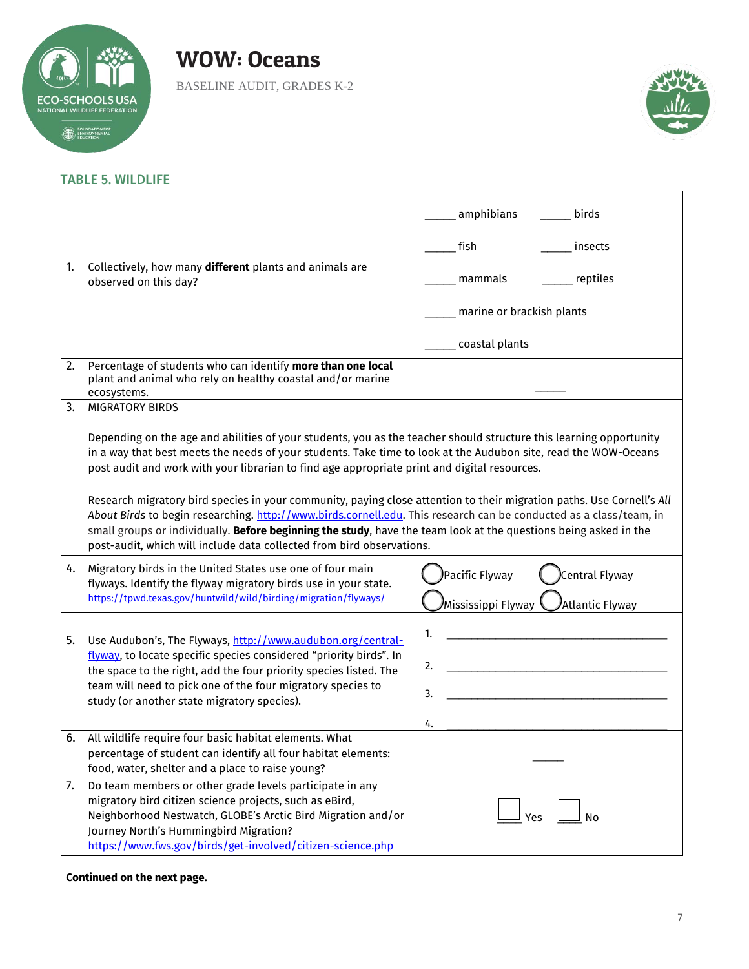



# TABLE 5. WILDLIFE

| 1. | Collectively, how many different plants and animals are<br>observed on this day?                                                                                                                                                                                                                                                                                                                                                                                                                                                                                                                                                                                                                                                                                                                            | amphibians<br>birds<br>fish<br>insects<br>reptiles<br>mammals<br>marine or brackish plants<br>coastal plants |
|----|-------------------------------------------------------------------------------------------------------------------------------------------------------------------------------------------------------------------------------------------------------------------------------------------------------------------------------------------------------------------------------------------------------------------------------------------------------------------------------------------------------------------------------------------------------------------------------------------------------------------------------------------------------------------------------------------------------------------------------------------------------------------------------------------------------------|--------------------------------------------------------------------------------------------------------------|
| 2. | Percentage of students who can identify more than one local<br>plant and animal who rely on healthy coastal and/or marine<br>ecosystems.                                                                                                                                                                                                                                                                                                                                                                                                                                                                                                                                                                                                                                                                    |                                                                                                              |
| 3. | <b>MIGRATORY BIRDS</b><br>Depending on the age and abilities of your students, you as the teacher should structure this learning opportunity<br>in a way that best meets the needs of your students. Take time to look at the Audubon site, read the WOW-Oceans<br>post audit and work with your librarian to find age appropriate print and digital resources.<br>Research migratory bird species in your community, paying close attention to their migration paths. Use Cornell's All<br>About Birds to begin researching. http://www.birds.cornell.edu. This research can be conducted as a class/team, in<br>small groups or individually. Before beginning the study, have the team look at the questions being asked in the<br>post-audit, which will include data collected from bird observations. |                                                                                                              |
| 4. | Migratory birds in the United States use one of four main<br>flyways. Identify the flyway migratory birds use in your state.<br>https://tpwd.texas.gov/huntwild/wild/birding/migration/flyways/                                                                                                                                                                                                                                                                                                                                                                                                                                                                                                                                                                                                             | Pacific Flyway<br>Central Flyway<br>Mississippi Flyway<br>Atlantic Flyway                                    |
| 5. | Use Audubon's, The Flyways, http://www.audubon.org/central-<br>flyway, to locate specific species considered "priority birds". In<br>the space to the right, add the four priority species listed. The<br>team will need to pick one of the four migratory species to<br>study (or another state migratory species).                                                                                                                                                                                                                                                                                                                                                                                                                                                                                        | 1.<br>2.<br>3.<br>4.                                                                                         |
| 6. | All wildlife require four basic habitat elements. What<br>percentage of student can identify all four habitat elements:<br>food, water, shelter and a place to raise young?                                                                                                                                                                                                                                                                                                                                                                                                                                                                                                                                                                                                                                 |                                                                                                              |
| 7. | Do team members or other grade levels participate in any<br>migratory bird citizen science projects, such as eBird,<br>Neighborhood Nestwatch, GLOBE's Arctic Bird Migration and/or<br>Journey North's Hummingbird Migration?<br>https://www.fws.gov/birds/get-involved/citizen-science.php                                                                                                                                                                                                                                                                                                                                                                                                                                                                                                                 | No<br>Yes                                                                                                    |

#### **Continued on the next page.**